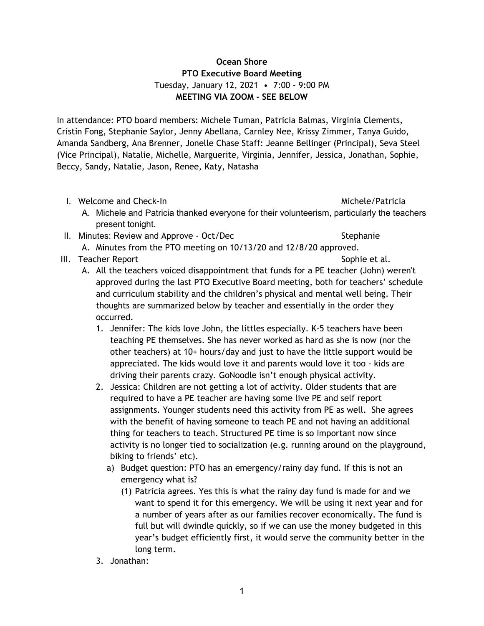# **Ocean Shore PTO Executive Board Meeting** Tuesday, January 12, 2021 • 7:00 - 9:00 PM **MEETING VIA ZOOM - SEE BELOW**

In attendance: PTO board members: Michele Tuman, Patricia Balmas, Virginia Clements, Cristin Fong, Stephanie Saylor, Jenny Abellana, Carnley Nee, Krissy Zimmer, Tanya Guido, Amanda Sandberg, Ana Brenner, Jonelle Chase Staff: Jeanne Bellinger (Principal), Seva Steel (Vice Principal), Natalie, Michelle, Marguerite, Virginia, Jennifer, Jessica, Jonathan, Sophie, Beccy, Sandy, Natalie, Jason, Renee, Katy, Natasha

I. Welcome and Check-In Michele/Patricia and Check-In Michele/Patricia

- A. Michele and Patricia thanked everyone for their volunteerism, particularly the teachers present tonight.
- II. Minutes: Review and Approve Oct/Dec Stephanie

- A. Minutes from the PTO meeting on 10/13/20 and 12/8/20 approved.
- III. Teacher Report **Sophie et al.** Sophie et al.
	- A. All the teachers voiced disappointment that funds for a PE teacher (John) weren't approved during the last PTO Executive Board meeting, both for teachers' schedule and curriculum stability and the children's physical and mental well being. Their thoughts are summarized below by teacher and essentially in the order they occurred.
		- 1. Jennifer: The kids love John, the littles especially. K-5 teachers have been teaching PE themselves. She has never worked as hard as she is now (nor the other teachers) at 10+ hours/day and just to have the little support would be appreciated. The kids would love it and parents would love it too - kids are driving their parents crazy. GoNoodle isn't enough physical activity.
		- 2. Jessica: Children are not getting a lot of activity. Older students that are required to have a PE teacher are having some live PE and self report assignments. Younger students need this activity from PE as well. She agrees with the benefit of having someone to teach PE and not having an additional thing for teachers to teach. Structured PE time is so important now since activity is no longer tied to socialization (e.g. running around on the playground, biking to friends' etc).
			- a) Budget question: PTO has an emergency/rainy day fund. If this is not an emergency what is?
				- (1) Patricia agrees. Yes this is what the rainy day fund is made for and we want to spend it for this emergency. We will be using it next year and for a number of years after as our families recover economically. The fund is full but will dwindle quickly, so if we can use the money budgeted in this year's budget efficiently first, it would serve the community better in the long term.
		- 3. Jonathan: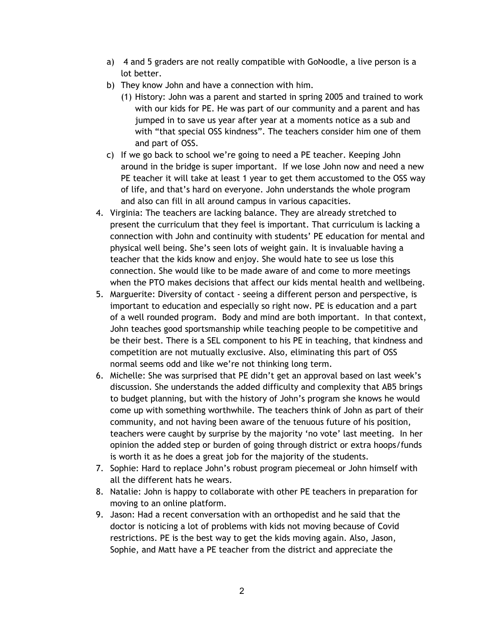- a) 4 and 5 graders are not really compatible with GoNoodle, a live person is a lot better.
- b) They know John and have a connection with him.
	- (1) History: John was a parent and started in spring 2005 and trained to work with our kids for PE. He was part of our community and a parent and has jumped in to save us year after year at a moments notice as a sub and with "that special OSS kindness". The teachers consider him one of them and part of OSS.
- c) If we go back to school we're going to need a PE teacher. Keeping John around in the bridge is super important. If we lose John now and need a new PE teacher it will take at least 1 year to get them accustomed to the OSS way of life, and that's hard on everyone. John understands the whole program and also can fill in all around campus in various capacities.
- 4. Virginia: The teachers are lacking balance. They are already stretched to present the curriculum that they feel is important. That curriculum is lacking a connection with John and continuity with students' PE education for mental and physical well being. She's seen lots of weight gain. It is invaluable having a teacher that the kids know and enjoy. She would hate to see us lose this connection. She would like to be made aware of and come to more meetings when the PTO makes decisions that affect our kids mental health and wellbeing.
- 5. Marguerite: Diversity of contact seeing a different person and perspective, is important to education and especially so right now. PE is education and a part of a well rounded program. Body and mind are both important. In that context, John teaches good sportsmanship while teaching people to be competitive and be their best. There is a SEL component to his PE in teaching, that kindness and competition are not mutually exclusive. Also, eliminating this part of OSS normal seems odd and like we're not thinking long term.
- 6. Michelle: She was surprised that PE didn't get an approval based on last week's discussion. She understands the added difficulty and complexity that AB5 brings to budget planning, but with the history of John's program she knows he would come up with something worthwhile. The teachers think of John as part of their community, and not having been aware of the tenuous future of his position, teachers were caught by surprise by the majority 'no vote' last meeting. In her opinion the added step or burden of going through district or extra hoops/funds is worth it as he does a great job for the majority of the students.
- 7. Sophie: Hard to replace John's robust program piecemeal or John himself with all the different hats he wears.
- 8. Natalie: John is happy to collaborate with other PE teachers in preparation for moving to an online platform.
- 9. Jason: Had a recent conversation with an orthopedist and he said that the doctor is noticing a lot of problems with kids not moving because of Covid restrictions. PE is the best way to get the kids moving again. Also, Jason, Sophie, and Matt have a PE teacher from the district and appreciate the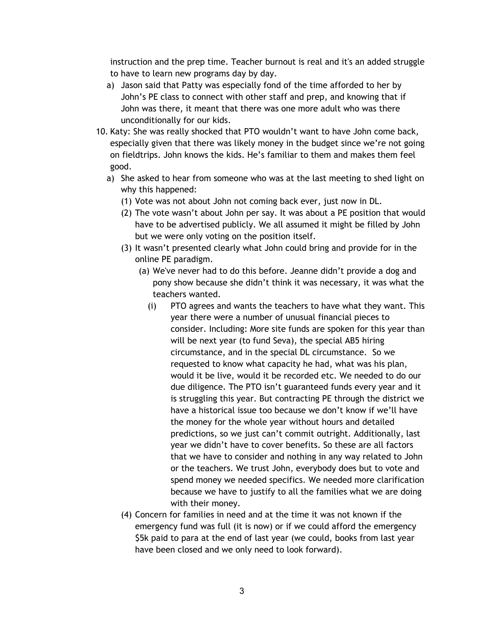instruction and the prep time. Teacher burnout is real and it's an added struggle to have to learn new programs day by day.

- a) Jason said that Patty was especially fond of the time afforded to her by John's PE class to connect with other staff and prep, and knowing that if John was there, it meant that there was one more adult who was there unconditionally for our kids.
- 10. Katy: She was really shocked that PTO wouldn't want to have John come back, especially given that there was likely money in the budget since we're not going on fieldtrips. John knows the kids. He's familiar to them and makes them feel good.
	- a) She asked to hear from someone who was at the last meeting to shed light on why this happened:
		- (1) Vote was not about John not coming back ever, just now in DL.
		- (2) The vote wasn't about John per say. It was about a PE position that would have to be advertised publicly. We all assumed it might be filled by John but we were only voting on the position itself.
		- (3) It wasn't presented clearly what John could bring and provide for in the online PE paradigm.
			- (a) We've never had to do this before. Jeanne didn't provide a dog and pony show because she didn't think it was necessary, it was what the teachers wanted.
				- (i) PTO agrees and wants the teachers to have what they want. This year there were a number of unusual financial pieces to consider. Including: More site funds are spoken for this year than will be next year (to fund Seva), the special AB5 hiring circumstance, and in the special DL circumstance. So we requested to know what capacity he had, what was his plan, would it be live, would it be recorded etc. We needed to do our due diligence. The PTO isn't guaranteed funds every year and it is struggling this year. But contracting PE through the district we have a historical issue too because we don't know if we'll have the money for the whole year without hours and detailed predictions, so we just can't commit outright. Additionally, last year we didn't have to cover benefits. So these are all factors that we have to consider and nothing in any way related to John or the teachers. We trust John, everybody does but to vote and spend money we needed specifics. We needed more clarification because we have to justify to all the families what we are doing with their money.
		- (4) Concern for families in need and at the time it was not known if the emergency fund was full (it is now) or if we could afford the emergency \$5k paid to para at the end of last year (we could, books from last year have been closed and we only need to look forward).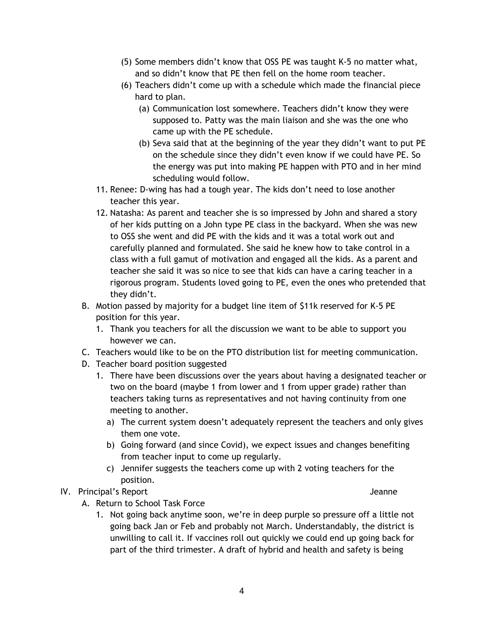- (5) Some members didn't know that OSS PE was taught K-5 no matter what, and so didn't know that PE then fell on the home room teacher.
- (6) Teachers didn't come up with a schedule which made the financial piece hard to plan.
	- (a) Communication lost somewhere. Teachers didn't know they were supposed to. Patty was the main liaison and she was the one who came up with the PE schedule.
	- (b) Seva said that at the beginning of the year they didn't want to put PE on the schedule since they didn't even know if we could have PE. So the energy was put into making PE happen with PTO and in her mind scheduling would follow.
- 11. Renee: D-wing has had a tough year. The kids don't need to lose another teacher this year.
- 12. Natasha: As parent and teacher she is so impressed by John and shared a story of her kids putting on a John type PE class in the backyard. When she was new to OSS she went and did PE with the kids and it was a total work out and carefully planned and formulated. She said he knew how to take control in a class with a full gamut of motivation and engaged all the kids. As a parent and teacher she said it was so nice to see that kids can have a caring teacher in a rigorous program. Students loved going to PE, even the ones who pretended that they didn't.
- B. Motion passed by majority for a budget line item of \$11k reserved for K-5 PE position for this year.
	- 1. Thank you teachers for all the discussion we want to be able to support you however we can.
- C. Teachers would like to be on the PTO distribution list for meeting communication.
- D. Teacher board position suggested
	- 1. There have been discussions over the years about having a designated teacher or two on the board (maybe 1 from lower and 1 from upper grade) rather than teachers taking turns as representatives and not having continuity from one meeting to another.
		- a) The current system doesn't adequately represent the teachers and only gives them one vote.
		- b) Going forward (and since Covid), we expect issues and changes benefiting from teacher input to come up regularly.
		- c) Jennifer suggests the teachers come up with 2 voting teachers for the position.

## IV. Principal's Report and American control of the state of the state of the state of the state of the state of the state of the state of the state of the state of the state of the state of the state of the state of the st

- A. Return to School Task Force
	- 1. Not going back anytime soon, we're in deep purple so pressure off a little not going back Jan or Feb and probably not March. Understandably, the district is unwilling to call it. If vaccines roll out quickly we could end up going back for part of the third trimester. A draft of hybrid and health and safety is being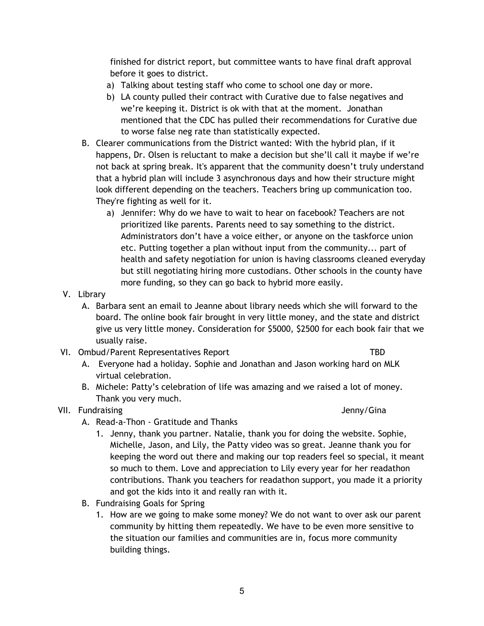finished for district report, but committee wants to have final draft approval before it goes to district.

- a) Talking about testing staff who come to school one day or more.
- b) LA county pulled their contract with Curative due to false negatives and we're keeping it. District is ok with that at the moment. Jonathan mentioned that the CDC has pulled their recommendations for Curative due to worse false neg rate than statistically expected.
- B. Clearer communications from the District wanted: With the hybrid plan, if it happens, Dr. Olsen is reluctant to make a decision but she'll call it maybe if we're not back at spring break. It's apparent that the community doesn't truly understand that a hybrid plan will include 3 asynchronous days and how their structure might look different depending on the teachers. Teachers bring up communication too. They're fighting as well for it.
	- a) Jennifer: Why do we have to wait to hear on facebook? Teachers are not prioritized like parents. Parents need to say something to the district. Administrators don't have a voice either, or anyone on the taskforce union etc. Putting together a plan without input from the community... part of health and safety negotiation for union is having classrooms cleaned everyday but still negotiating hiring more custodians. Other schools in the county have more funding, so they can go back to hybrid more easily.
- V. Library
	- A. Barbara sent an email to Jeanne about library needs which she will forward to the board. The online book fair brought in very little money, and the state and district give us very little money. Consideration for \$5000, \$2500 for each book fair that we usually raise.
- VI. Ombud/Parent Representatives Report TBD

- A. Everyone had a holiday. Sophie and Jonathan and Jason working hard on MLK virtual celebration.
- B. Michele: Patty's celebration of life was amazing and we raised a lot of money. Thank you very much.

## VII. Fundraising and the settlement of the settlement of the settlement of the settlement of the settlement of the settlement of the settlement of the settlement of the settlement of the settlement of the settlement of the

- A. Read-a-Thon Gratitude and Thanks
	- 1. Jenny, thank you partner. Natalie, thank you for doing the website. Sophie, Michelle, Jason, and Lily, the Patty video was so great. Jeanne thank you for keeping the word out there and making our top readers feel so special, it meant so much to them. Love and appreciation to Lily every year for her readathon contributions. Thank you teachers for readathon support, you made it a priority and got the kids into it and really ran with it.
- B. Fundraising Goals for Spring
	- 1. How are we going to make some money? We do not want to over ask our parent community by hitting them repeatedly. We have to be even more sensitive to the situation our families and communities are in, focus more community building things.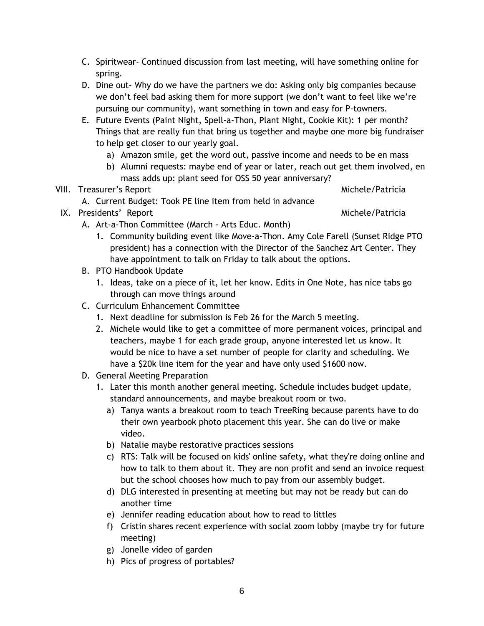- C. Spiritwear- Continued discussion from last meeting, will have something online for spring.
- D. Dine out- Why do we have the partners we do: Asking only big companies because we don't feel bad asking them for more support (we don't want to feel like we're pursuing our community), want something in town and easy for P-towners.
- E. Future Events (Paint Night, Spell-a-Thon, Plant Night, Cookie Kit): 1 per month? Things that are really fun that bring us together and maybe one more big fundraiser to help get closer to our yearly goal.
	- a) Amazon smile, get the word out, passive income and needs to be en mass
	- b) Alumni requests: maybe end of year or later, reach out get them involved, en mass adds up: plant seed for OSS 50 year anniversary?

# VIII. Treasurer's Report **Michele/Patricia** and Michele/Patricia

- A. Current Budget: Took PE line item from held in advance
- IX. Presidents' Report and America and America and America and America and America and America and America and America
- - A. Art-a-Thon Committee (March Arts Educ. Month)
		- 1. Community building event like Move-a-Thon. Amy Cole Farell (Sunset Ridge PTO president) has a connection with the Director of the Sanchez Art Center. They have appointment to talk on Friday to talk about the options.
	- B. PTO Handbook Update
		- 1. Ideas, take on a piece of it, let her know. Edits in One Note, has nice tabs go through can move things around
	- C. Curriculum Enhancement Committee
		- 1. Next deadline for submission is Feb 26 for the March 5 meeting.
		- 2. Michele would like to get a committee of more permanent voices, principal and teachers, maybe 1 for each grade group, anyone interested let us know. It would be nice to have a set number of people for clarity and scheduling. We have a \$20k line item for the year and have only used \$1600 now.
	- D. General Meeting Preparation
		- 1. Later this month another general meeting. Schedule includes budget update, standard announcements, and maybe breakout room or two.
			- a) Tanya wants a breakout room to teach TreeRing because parents have to do their own yearbook photo placement this year. She can do live or make video.
			- b) Natalie maybe restorative practices sessions
			- c) RTS: Talk will be focused on kids' online safety, what they're doing online and how to talk to them about it. They are non profit and send an invoice request but the school chooses how much to pay from our assembly budget.
			- d) DLG interested in presenting at meeting but may not be ready but can do another time
			- e) Jennifer reading education about how to read to littles
			- f) Cristin shares recent experience with social zoom lobby (maybe try for future meeting)
			- g) Jonelle video of garden
			- h) Pics of progress of portables?